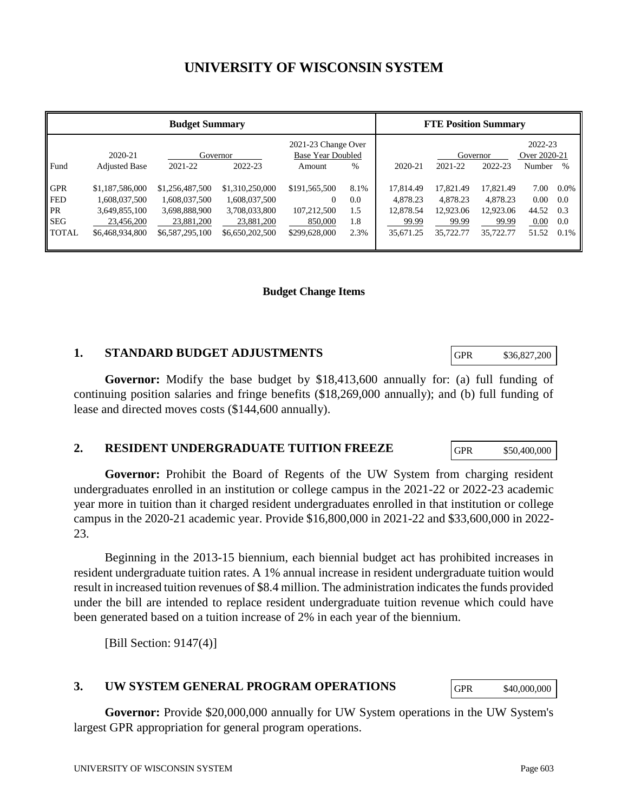# **UNIVERSITY OF WISCONSIN SYSTEM**

| <b>Budget Summary</b>          |                                                   |                                                   |                                                   | <b>FTE Position Summary</b>                     |                    |                                    |                                    |                                    |                         |                       |
|--------------------------------|---------------------------------------------------|---------------------------------------------------|---------------------------------------------------|-------------------------------------------------|--------------------|------------------------------------|------------------------------------|------------------------------------|-------------------------|-----------------------|
|                                | 2020-21                                           |                                                   | Governor                                          | 2021-23 Change Over<br><b>Base Year Doubled</b> |                    |                                    | Governor                           |                                    | 2022-23<br>Over 2020-21 |                       |
| Fund                           | <b>Adjusted Base</b>                              | 2021-22                                           | 2022-23                                           | Amount                                          | $\%$               | 2020-21                            | 2021-22                            | 2022-23                            | Number                  | $\%$                  |
| <b>GPR</b><br><b>FED</b><br>PR | \$1,187,586,000<br>1,608,037,500<br>3,649,855,100 | \$1,256,487,500<br>1,608,037,500<br>3,698,888,900 | \$1,310,250,000<br>1,608,037,500<br>3,708,033,800 | \$191,565,500<br>$\overline{0}$<br>107,212,500  | 8.1%<br>0.0<br>1.5 | 17,814.49<br>4,878.23<br>12,878.54 | 17.821.49<br>4,878.23<br>12,923.06 | 17.821.49<br>4.878.23<br>12,923.06 | 7.00<br>0.00<br>44.52   | $0.0\%$<br>0.0<br>0.3 |
| <b>SEG</b><br><b>TOTAL</b>     | 23,456,200<br>\$6,468,934,800                     | 23,881,200<br>\$6,587,295,100                     | 23,881,200<br>\$6,650,202,500                     | 850,000<br>\$299,628,000                        | 1.8<br>2.3%        | 99.99<br>35,671.25                 | 99.99<br>35,722.77                 | 99.99<br>35,722.77                 | 0.00<br>51.52           | 0.0<br>0.1%           |

#### **Budget Change Items**

### **1. STANDARD BUDGET ADJUSTMENTS**

**Governor:** Modify the base budget by \$18,413,600 annually for: (a) full funding of continuing position salaries and fringe benefits (\$18,269,000 annually); and (b) full funding of lease and directed moves costs (\$144,600 annually).

### **2. RESIDENT UNDERGRADUATE TUITION FREEZE**

**Governor:** Prohibit the Board of Regents of the UW System from charging resident undergraduates enrolled in an institution or college campus in the 2021-22 or 2022-23 academic year more in tuition than it charged resident undergraduates enrolled in that institution or college campus in the 2020-21 academic year. Provide \$16,800,000 in 2021-22 and \$33,600,000 in 2022- 23.

Beginning in the 2013-15 biennium, each biennial budget act has prohibited increases in resident undergraduate tuition rates. A 1% annual increase in resident undergraduate tuition would result in increased tuition revenues of \$8.4 million. The administration indicates the funds provided under the bill are intended to replace resident undergraduate tuition revenue which could have been generated based on a tuition increase of 2% in each year of the biennium.

[Bill Section:  $9147(4)$ ]

### **3. UW SYSTEM GENERAL PROGRAM OPERATIONS**

**Governor:** Provide \$20,000,000 annually for UW System operations in the UW System's largest GPR appropriation for general program operations.

GPR \$36,827,200

GPR \$50,400,000

GPR \$40,000,000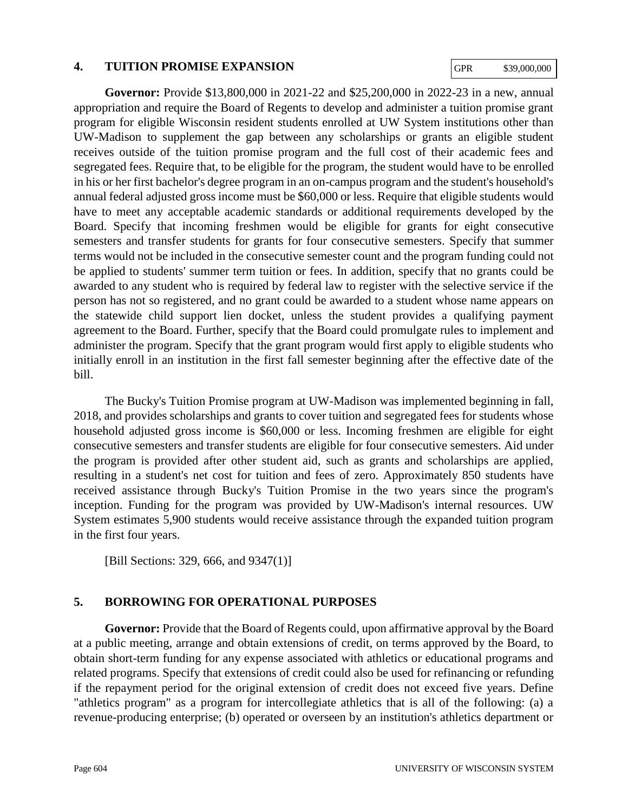#### **4. TUITION PROMISE EXPANSION**

GPR \$39,000,000

**Governor:** Provide \$13,800,000 in 2021-22 and \$25,200,000 in 2022-23 in a new, annual appropriation and require the Board of Regents to develop and administer a tuition promise grant program for eligible Wisconsin resident students enrolled at UW System institutions other than UW-Madison to supplement the gap between any scholarships or grants an eligible student receives outside of the tuition promise program and the full cost of their academic fees and segregated fees. Require that, to be eligible for the program, the student would have to be enrolled in his or her first bachelor's degree program in an on-campus program and the student's household's annual federal adjusted gross income must be \$60,000 or less. Require that eligible students would have to meet any acceptable academic standards or additional requirements developed by the Board. Specify that incoming freshmen would be eligible for grants for eight consecutive semesters and transfer students for grants for four consecutive semesters. Specify that summer terms would not be included in the consecutive semester count and the program funding could not be applied to students' summer term tuition or fees. In addition, specify that no grants could be awarded to any student who is required by federal law to register with the selective service if the person has not so registered, and no grant could be awarded to a student whose name appears on the statewide child support lien docket, unless the student provides a qualifying payment agreement to the Board. Further, specify that the Board could promulgate rules to implement and administer the program. Specify that the grant program would first apply to eligible students who initially enroll in an institution in the first fall semester beginning after the effective date of the bill.

The Bucky's Tuition Promise program at UW-Madison was implemented beginning in fall, 2018, and provides scholarships and grants to cover tuition and segregated fees for students whose household adjusted gross income is \$60,000 or less. Incoming freshmen are eligible for eight consecutive semesters and transfer students are eligible for four consecutive semesters. Aid under the program is provided after other student aid, such as grants and scholarships are applied, resulting in a student's net cost for tuition and fees of zero. Approximately 850 students have received assistance through Bucky's Tuition Promise in the two years since the program's inception. Funding for the program was provided by UW-Madison's internal resources. UW System estimates 5,900 students would receive assistance through the expanded tuition program in the first four years.

[Bill Sections: 329, 666, and 9347(1)]

## **5. BORROWING FOR OPERATIONAL PURPOSES**

**Governor:** Provide that the Board of Regents could, upon affirmative approval by the Board at a public meeting, arrange and obtain extensions of credit, on terms approved by the Board, to obtain short-term funding for any expense associated with athletics or educational programs and related programs. Specify that extensions of credit could also be used for refinancing or refunding if the repayment period for the original extension of credit does not exceed five years. Define "athletics program" as a program for intercollegiate athletics that is all of the following: (a) a revenue-producing enterprise; (b) operated or overseen by an institution's athletics department or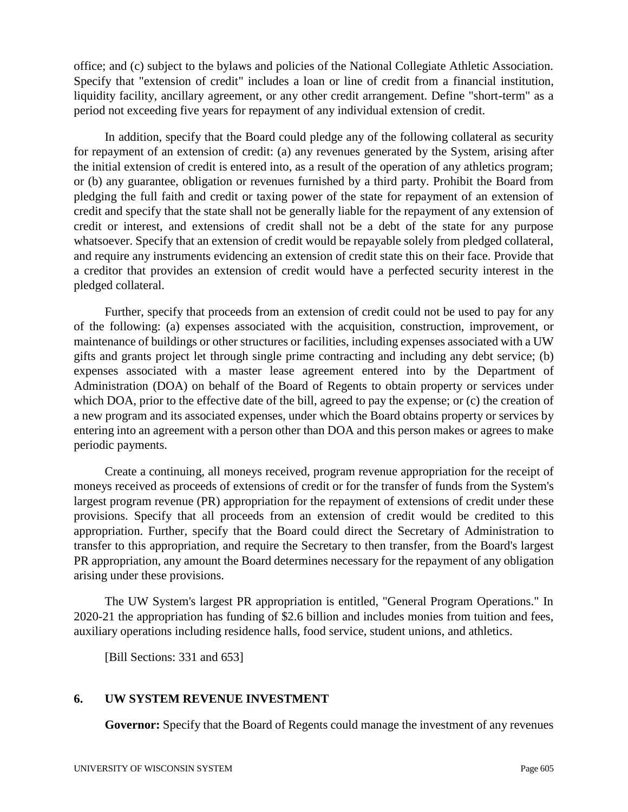office; and (c) subject to the bylaws and policies of the National Collegiate Athletic Association. Specify that "extension of credit" includes a loan or line of credit from a financial institution, liquidity facility, ancillary agreement, or any other credit arrangement. Define "short-term" as a period not exceeding five years for repayment of any individual extension of credit.

In addition, specify that the Board could pledge any of the following collateral as security for repayment of an extension of credit: (a) any revenues generated by the System, arising after the initial extension of credit is entered into, as a result of the operation of any athletics program; or (b) any guarantee, obligation or revenues furnished by a third party. Prohibit the Board from pledging the full faith and credit or taxing power of the state for repayment of an extension of credit and specify that the state shall not be generally liable for the repayment of any extension of credit or interest, and extensions of credit shall not be a debt of the state for any purpose whatsoever. Specify that an extension of credit would be repayable solely from pledged collateral, and require any instruments evidencing an extension of credit state this on their face. Provide that a creditor that provides an extension of credit would have a perfected security interest in the pledged collateral.

Further, specify that proceeds from an extension of credit could not be used to pay for any of the following: (a) expenses associated with the acquisition, construction, improvement, or maintenance of buildings or other structures or facilities, including expenses associated with a UW gifts and grants project let through single prime contracting and including any debt service; (b) expenses associated with a master lease agreement entered into by the Department of Administration (DOA) on behalf of the Board of Regents to obtain property or services under which DOA, prior to the effective date of the bill, agreed to pay the expense; or (c) the creation of a new program and its associated expenses, under which the Board obtains property or services by entering into an agreement with a person other than DOA and this person makes or agrees to make periodic payments.

Create a continuing, all moneys received, program revenue appropriation for the receipt of moneys received as proceeds of extensions of credit or for the transfer of funds from the System's largest program revenue (PR) appropriation for the repayment of extensions of credit under these provisions. Specify that all proceeds from an extension of credit would be credited to this appropriation. Further, specify that the Board could direct the Secretary of Administration to transfer to this appropriation, and require the Secretary to then transfer, from the Board's largest PR appropriation, any amount the Board determines necessary for the repayment of any obligation arising under these provisions.

The UW System's largest PR appropriation is entitled, "General Program Operations." In 2020-21 the appropriation has funding of \$2.6 billion and includes monies from tuition and fees, auxiliary operations including residence halls, food service, student unions, and athletics.

[Bill Sections: 331 and 653]

## **6. UW SYSTEM REVENUE INVESTMENT**

**Governor:** Specify that the Board of Regents could manage the investment of any revenues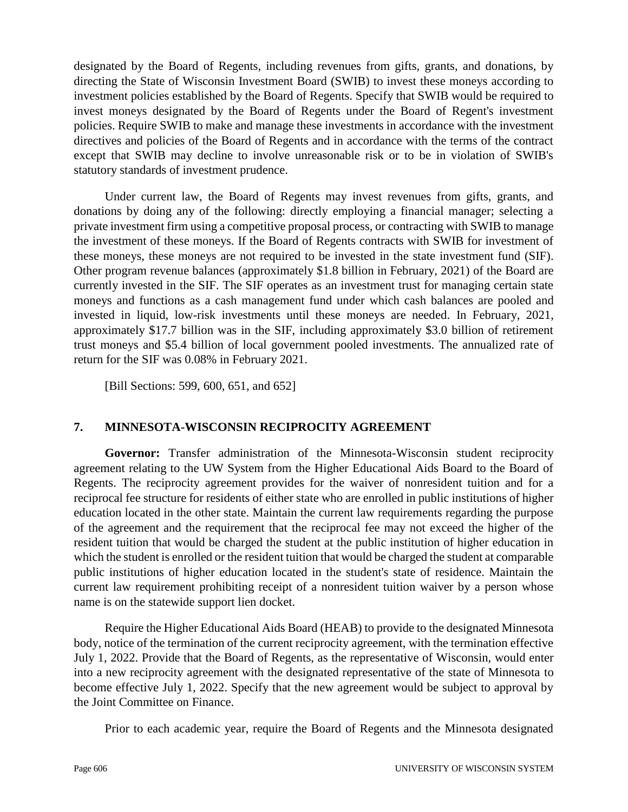designated by the Board of Regents, including revenues from gifts, grants, and donations, by directing the State of Wisconsin Investment Board (SWIB) to invest these moneys according to investment policies established by the Board of Regents. Specify that SWIB would be required to invest moneys designated by the Board of Regents under the Board of Regent's investment policies. Require SWIB to make and manage these investments in accordance with the investment directives and policies of the Board of Regents and in accordance with the terms of the contract except that SWIB may decline to involve unreasonable risk or to be in violation of SWIB's statutory standards of investment prudence.

Under current law, the Board of Regents may invest revenues from gifts, grants, and donations by doing any of the following: directly employing a financial manager; selecting a private investment firm using a competitive proposal process, or contracting with SWIB to manage the investment of these moneys. If the Board of Regents contracts with SWIB for investment of these moneys, these moneys are not required to be invested in the state investment fund (SIF). Other program revenue balances (approximately \$1.8 billion in February, 2021) of the Board are currently invested in the SIF. The SIF operates as an investment trust for managing certain state moneys and functions as a cash management fund under which cash balances are pooled and invested in liquid, low-risk investments until these moneys are needed. In February, 2021, approximately \$17.7 billion was in the SIF, including approximately \$3.0 billion of retirement trust moneys and \$5.4 billion of local government pooled investments. The annualized rate of return for the SIF was 0.08% in February 2021.

[Bill Sections: 599, 600, 651, and 652]

## **7. MINNESOTA-WISCONSIN RECIPROCITY AGREEMENT**

**Governor:** Transfer administration of the Minnesota-Wisconsin student reciprocity agreement relating to the UW System from the Higher Educational Aids Board to the Board of Regents. The reciprocity agreement provides for the waiver of nonresident tuition and for a reciprocal fee structure for residents of either state who are enrolled in public institutions of higher education located in the other state. Maintain the current law requirements regarding the purpose of the agreement and the requirement that the reciprocal fee may not exceed the higher of the resident tuition that would be charged the student at the public institution of higher education in which the student is enrolled or the resident tuition that would be charged the student at comparable public institutions of higher education located in the student's state of residence. Maintain the current law requirement prohibiting receipt of a nonresident tuition waiver by a person whose name is on the statewide support lien docket.

Require the Higher Educational Aids Board (HEAB) to provide to the designated Minnesota body, notice of the termination of the current reciprocity agreement, with the termination effective July 1, 2022. Provide that the Board of Regents, as the representative of Wisconsin, would enter into a new reciprocity agreement with the designated representative of the state of Minnesota to become effective July 1, 2022. Specify that the new agreement would be subject to approval by the Joint Committee on Finance.

Prior to each academic year, require the Board of Regents and the Minnesota designated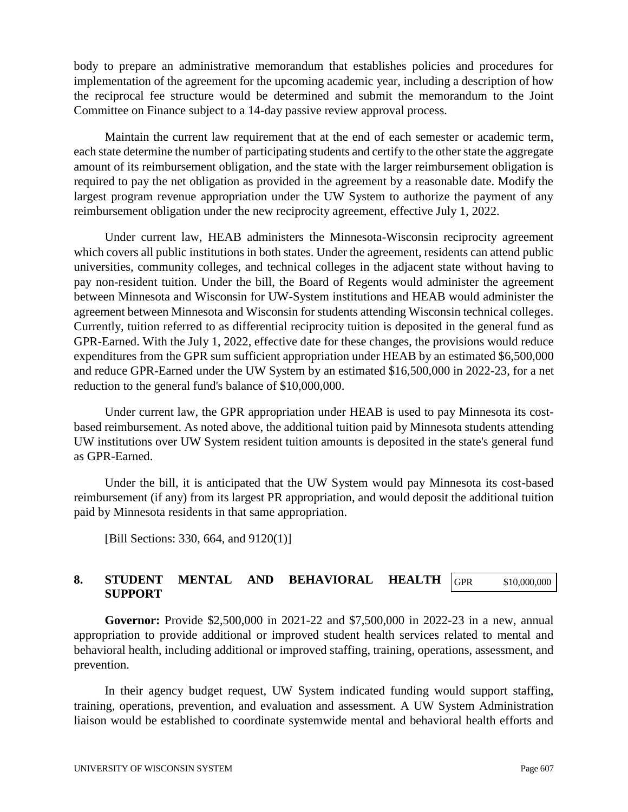body to prepare an administrative memorandum that establishes policies and procedures for implementation of the agreement for the upcoming academic year, including a description of how the reciprocal fee structure would be determined and submit the memorandum to the Joint Committee on Finance subject to a 14-day passive review approval process.

Maintain the current law requirement that at the end of each semester or academic term, each state determine the number of participating students and certify to the other state the aggregate amount of its reimbursement obligation, and the state with the larger reimbursement obligation is required to pay the net obligation as provided in the agreement by a reasonable date. Modify the largest program revenue appropriation under the UW System to authorize the payment of any reimbursement obligation under the new reciprocity agreement, effective July 1, 2022.

Under current law, HEAB administers the Minnesota-Wisconsin reciprocity agreement which covers all public institutions in both states. Under the agreement, residents can attend public universities, community colleges, and technical colleges in the adjacent state without having to pay non-resident tuition. Under the bill, the Board of Regents would administer the agreement between Minnesota and Wisconsin for UW-System institutions and HEAB would administer the agreement between Minnesota and Wisconsin for students attending Wisconsin technical colleges. Currently, tuition referred to as differential reciprocity tuition is deposited in the general fund as GPR-Earned. With the July 1, 2022, effective date for these changes, the provisions would reduce expenditures from the GPR sum sufficient appropriation under HEAB by an estimated \$6,500,000 and reduce GPR-Earned under the UW System by an estimated \$16,500,000 in 2022-23, for a net reduction to the general fund's balance of \$10,000,000.

Under current law, the GPR appropriation under HEAB is used to pay Minnesota its costbased reimbursement. As noted above, the additional tuition paid by Minnesota students attending UW institutions over UW System resident tuition amounts is deposited in the state's general fund as GPR-Earned.

Under the bill, it is anticipated that the UW System would pay Minnesota its cost-based reimbursement (if any) from its largest PR appropriation, and would deposit the additional tuition paid by Minnesota residents in that same appropriation.

[Bill Sections: 330, 664, and 9120(1)]

#### **8. STUDENT MENTAL AND BEHAVIORAL HEALTH SUPPORT** GPR \$10,000,000

**Governor:** Provide \$2,500,000 in 2021-22 and \$7,500,000 in 2022-23 in a new, annual appropriation to provide additional or improved student health services related to mental and behavioral health, including additional or improved staffing, training, operations, assessment, and prevention.

In their agency budget request, UW System indicated funding would support staffing, training, operations, prevention, and evaluation and assessment. A UW System Administration liaison would be established to coordinate systemwide mental and behavioral health efforts and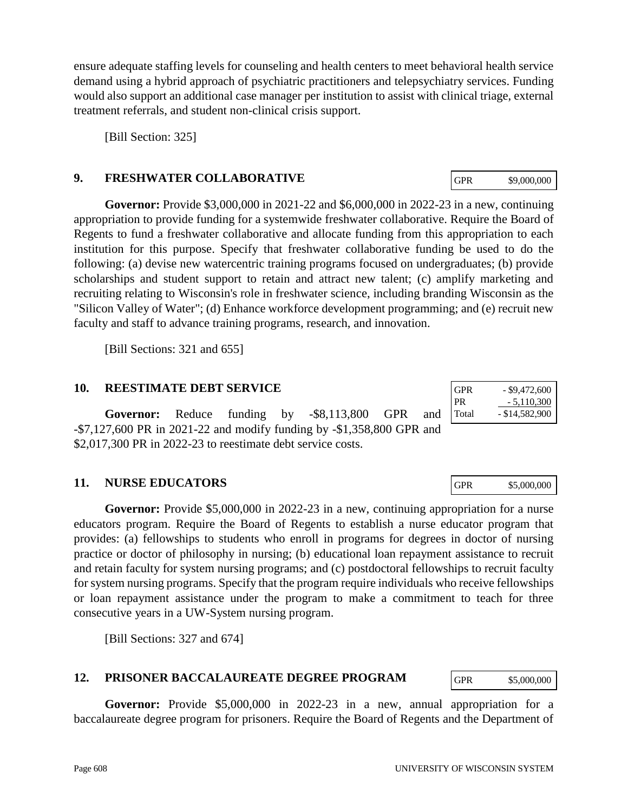ensure adequate staffing levels for counseling and health centers to meet behavioral health service demand using a hybrid approach of psychiatric practitioners and telepsychiatry services. Funding would also support an additional case manager per institution to assist with clinical triage, external treatment referrals, and student non-clinical crisis support.

[Bill Section: 325]

### **9. FRESHWATER COLLABORATIVE**

**Governor:** Provide \$3,000,000 in 2021-22 and \$6,000,000 in 2022-23 in a new, continuing appropriation to provide funding for a systemwide freshwater collaborative. Require the Board of Regents to fund a freshwater collaborative and allocate funding from this appropriation to each institution for this purpose. Specify that freshwater collaborative funding be used to do the following: (a) devise new watercentric training programs focused on undergraduates; (b) provide scholarships and student support to retain and attract new talent; (c) amplify marketing and recruiting relating to Wisconsin's role in freshwater science, including branding Wisconsin as the "Silicon Valley of Water"; (d) Enhance workforce development programming; and (e) recruit new faculty and staff to advance training programs, research, and innovation.

[Bill Sections: 321 and 655]

### **10. REESTIMATE DEBT SERVICE**

**Governor:** Reduce funding by -\$8,113,800 GPR and -\$7,127,600 PR in 2021-22 and modify funding by -\$1,358,800 GPR and \$2,017,300 PR in 2022-23 to reestimate debt service costs.

## **11. NURSE EDUCATORS**

**Governor:** Provide \$5,000,000 in 2022-23 in a new, continuing appropriation for a nurse educators program. Require the Board of Regents to establish a nurse educator program that provides: (a) fellowships to students who enroll in programs for degrees in doctor of nursing practice or doctor of philosophy in nursing; (b) educational loan repayment assistance to recruit and retain faculty for system nursing programs; and (c) postdoctoral fellowships to recruit faculty for system nursing programs. Specify that the program require individuals who receive fellowships or loan repayment assistance under the program to make a commitment to teach for three consecutive years in a UW-System nursing program.

[Bill Sections: 327 and 674]

## **12. PRISONER BACCALAUREATE DEGREE PROGRAM**

**Governor:** Provide \$5,000,000 in 2022-23 in a new, annual appropriation for a baccalaureate degree program for prisoners. Require the Board of Regents and the Department of

| <b>GPR</b> | - \$9,472,600    |
|------------|------------------|
| PR         | $-5,110,300$     |
| Total      | $-$ \$14,582,900 |

GPR \$5,000,000

GPR \$9,000,000

GPR \$5,000,000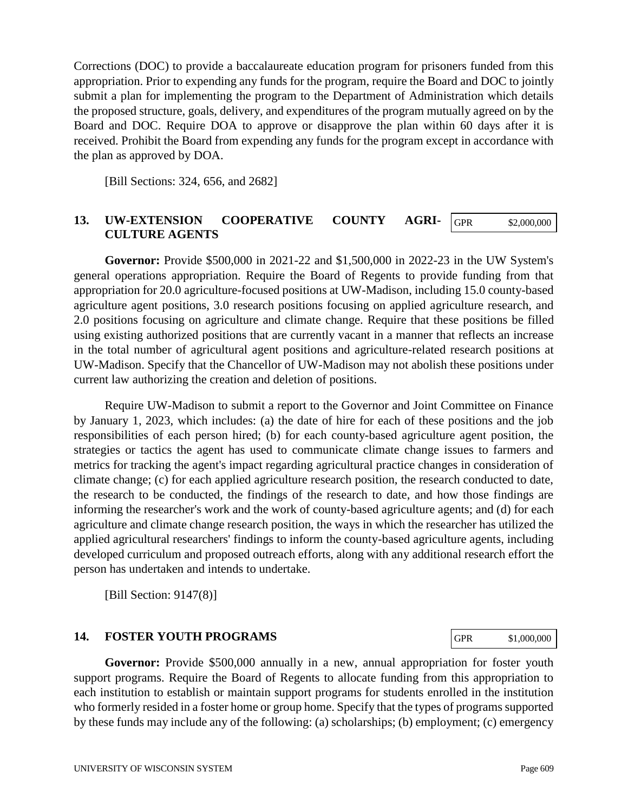Corrections (DOC) to provide a baccalaureate education program for prisoners funded from this appropriation. Prior to expending any funds for the program, require the Board and DOC to jointly submit a plan for implementing the program to the Department of Administration which details the proposed structure, goals, delivery, and expenditures of the program mutually agreed on by the Board and DOC. Require DOA to approve or disapprove the plan within 60 days after it is received. Prohibit the Board from expending any funds for the program except in accordance with the plan as approved by DOA.

[Bill Sections: 324, 656, and 2682]

#### **13. UW-EXTENSION COOPERATIVE COUNTY AGRI-CULTURE AGENTS**  GPR \$2,000,000

**Governor:** Provide \$500,000 in 2021-22 and \$1,500,000 in 2022-23 in the UW System's general operations appropriation. Require the Board of Regents to provide funding from that appropriation for 20.0 agriculture-focused positions at UW-Madison, including 15.0 county-based agriculture agent positions, 3.0 research positions focusing on applied agriculture research, and 2.0 positions focusing on agriculture and climate change. Require that these positions be filled using existing authorized positions that are currently vacant in a manner that reflects an increase in the total number of agricultural agent positions and agriculture-related research positions at UW-Madison. Specify that the Chancellor of UW-Madison may not abolish these positions under current law authorizing the creation and deletion of positions.

Require UW-Madison to submit a report to the Governor and Joint Committee on Finance by January 1, 2023, which includes: (a) the date of hire for each of these positions and the job responsibilities of each person hired; (b) for each county-based agriculture agent position, the strategies or tactics the agent has used to communicate climate change issues to farmers and metrics for tracking the agent's impact regarding agricultural practice changes in consideration of climate change; (c) for each applied agriculture research position, the research conducted to date, the research to be conducted, the findings of the research to date, and how those findings are informing the researcher's work and the work of county-based agriculture agents; and (d) for each agriculture and climate change research position, the ways in which the researcher has utilized the applied agricultural researchers' findings to inform the county-based agriculture agents, including developed curriculum and proposed outreach efforts, along with any additional research effort the person has undertaken and intends to undertake.

[Bill Section: 9147(8)]

### **14. FOSTER YOUTH PROGRAMS**

**Governor:** Provide \$500,000 annually in a new, annual appropriation for foster youth support programs. Require the Board of Regents to allocate funding from this appropriation to each institution to establish or maintain support programs for students enrolled in the institution who formerly resided in a foster home or group home. Specify that the types of programs supported by these funds may include any of the following: (a) scholarships; (b) employment; (c) emergency

GPR \$1,000,000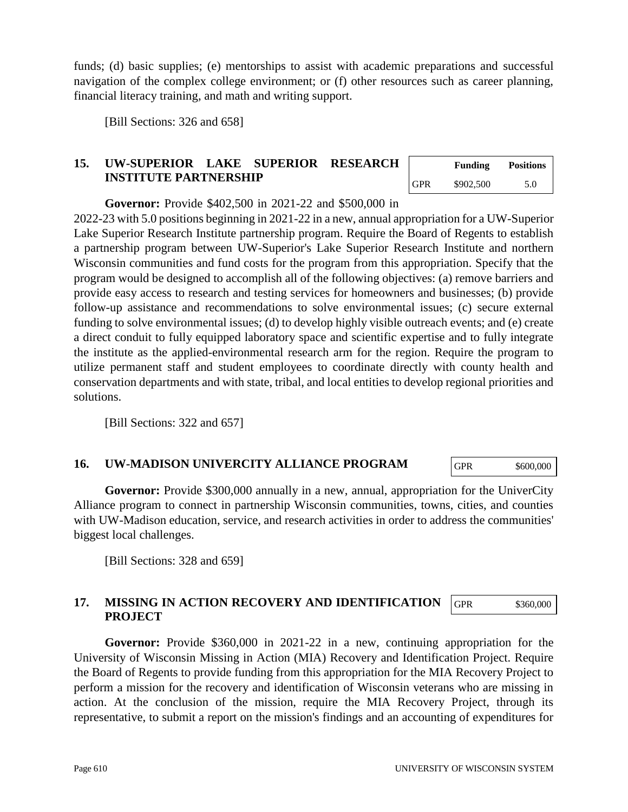funds; (d) basic supplies; (e) mentorships to assist with academic preparations and successful navigation of the complex college environment; or (f) other resources such as career planning, financial literacy training, and math and writing support.

[Bill Sections: 326 and 658]

## **15. UW-SUPERIOR LAKE SUPERIOR RESEARCH INSTITUTE PARTNERSHIP**

|            | <b>Funding</b> | <b>Positions</b> |
|------------|----------------|------------------|
| <b>GPR</b> | \$902,500      | 5.0              |

**Governor:** Provide \$402,500 in 2021-22 and \$500,000 in

2022-23 with 5.0 positions beginning in 2021-22 in a new, annual appropriation for a UW-Superior Lake Superior Research Institute partnership program. Require the Board of Regents to establish a partnership program between UW-Superior's Lake Superior Research Institute and northern Wisconsin communities and fund costs for the program from this appropriation. Specify that the program would be designed to accomplish all of the following objectives: (a) remove barriers and provide easy access to research and testing services for homeowners and businesses; (b) provide follow-up assistance and recommendations to solve environmental issues; (c) secure external funding to solve environmental issues; (d) to develop highly visible outreach events; and (e) create a direct conduit to fully equipped laboratory space and scientific expertise and to fully integrate the institute as the applied-environmental research arm for the region. Require the program to utilize permanent staff and student employees to coordinate directly with county health and conservation departments and with state, tribal, and local entities to develop regional priorities and solutions.

[Bill Sections: 322 and 657]

### **16. UW-MADISON UNIVERCITY ALLIANCE PROGRAM**

GPR \$600,000

Governor: Provide \$300,000 annually in a new, annual, appropriation for the UniverCity Alliance program to connect in partnership Wisconsin communities, towns, cities, and counties with UW-Madison education, service, and research activities in order to address the communities' biggest local challenges.

[Bill Sections: 328 and 659]

#### **17. MISSING IN ACTION RECOVERY AND IDENTIFICATION PROJECT** GPR \$360,000

**Governor:** Provide \$360,000 in 2021-22 in a new, continuing appropriation for the University of Wisconsin Missing in Action (MIA) Recovery and Identification Project. Require the Board of Regents to provide funding from this appropriation for the MIA Recovery Project to perform a mission for the recovery and identification of Wisconsin veterans who are missing in action. At the conclusion of the mission, require the MIA Recovery Project, through its representative, to submit a report on the mission's findings and an accounting of expenditures for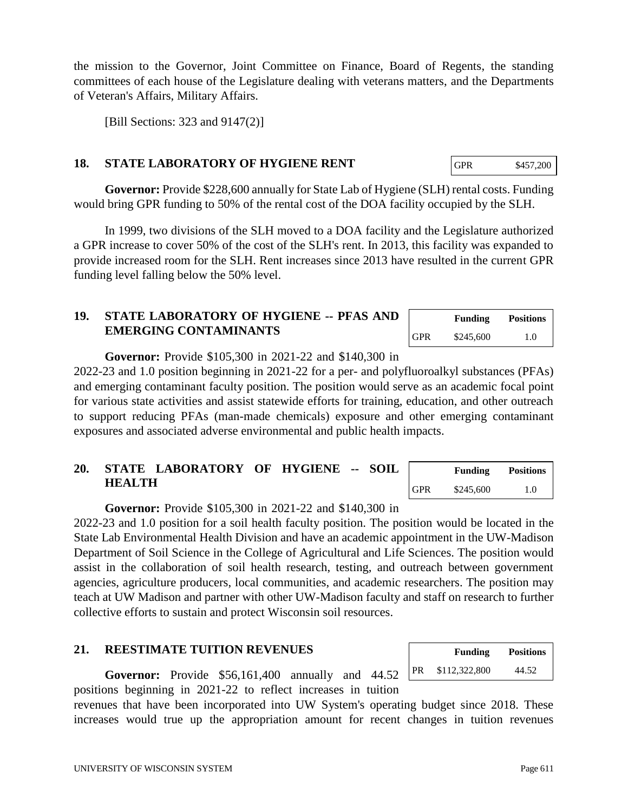UNIVERSITY OF WISCONSIN SYSTEM **Page 611** 

the mission to the Governor, Joint Committee on Finance, Board of Regents, the standing committees of each house of the Legislature dealing with veterans matters, and the Departments of Veteran's Affairs, Military Affairs.

[Bill Sections: 323 and 9147(2)]

### **18. STATE LABORATORY OF HYGIENE RENT**

**Governor:** Provide \$228,600 annually for State Lab of Hygiene (SLH) rental costs. Funding would bring GPR funding to 50% of the rental cost of the DOA facility occupied by the SLH.

In 1999, two divisions of the SLH moved to a DOA facility and the Legislature authorized a GPR increase to cover 50% of the cost of the SLH's rent. In 2013, this facility was expanded to provide increased room for the SLH. Rent increases since 2013 have resulted in the current GPR funding level falling below the 50% level.

## **19. STATE LABORATORY OF HYGIENE -- PFAS AND EMERGING CONTAMINANTS**

**Governor:** Provide \$105,300 in 2021-22 and \$140,300 in

2022-23 and 1.0 position beginning in 2021-22 for a per- and polyfluoroalkyl substances (PFAs) and emerging contaminant faculty position. The position would serve as an academic focal point for various state activities and assist statewide efforts for training, education, and other outreach to support reducing PFAs (man-made chemicals) exposure and other emerging contaminant exposures and associated adverse environmental and public health impacts.

## **20. STATE LABORATORY OF HYGIENE -- SOIL HEALTH**

**Governor:** Provide \$105,300 in 2021-22 and \$140,300 in

2022-23 and 1.0 position for a soil health faculty position. The position would be located in the State Lab Environmental Health Division and have an academic appointment in the UW-Madison Department of Soil Science in the College of Agricultural and Life Sciences. The position would assist in the collaboration of soil health research, testing, and outreach between government agencies, agriculture producers, local communities, and academic researchers. The position may teach at UW Madison and partner with other UW-Madison faculty and staff on research to further collective efforts to sustain and protect Wisconsin soil resources.

## **21. REESTIMATE TUITION REVENUES**

**Governor:** Provide \$56,161,400 annually and 44.52 positions beginning in 2021-22 to reflect increases in tuition

revenues that have been incorporated into UW System's operating budget since 2018. These increases would true up the appropriation amount for recent changes in tuition revenues

|    | <b>Funding</b> | <b>Positions</b> |
|----|----------------|------------------|
| PR | \$112,322,800  | 44.52            |

|            | Funding   | <b>Positions</b> |
|------------|-----------|------------------|
| <b>GPR</b> | \$245,600 | 1.0              |

**Funding Positions**

GPR \$245,600 1.0

GPR \$457,200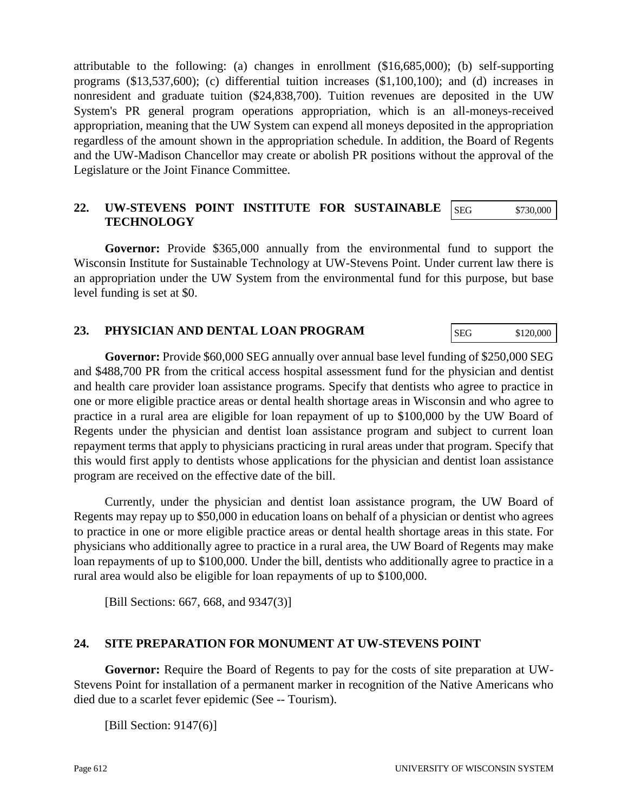attributable to the following: (a) changes in enrollment (\$16,685,000); (b) self-supporting programs (\$13,537,600); (c) differential tuition increases (\$1,100,100); and (d) increases in nonresident and graduate tuition (\$24,838,700). Tuition revenues are deposited in the UW System's PR general program operations appropriation, which is an all-moneys-received appropriation, meaning that the UW System can expend all moneys deposited in the appropriation regardless of the amount shown in the appropriation schedule. In addition, the Board of Regents and the UW-Madison Chancellor may create or abolish PR positions without the approval of the Legislature or the Joint Finance Committee.

#### **22. UW-STEVENS POINT INSTITUTE FOR SUSTAINABLE TECHNOLOGY** SEG \$730,000

**Governor:** Provide \$365,000 annually from the environmental fund to support the Wisconsin Institute for Sustainable Technology at UW-Stevens Point. Under current law there is an appropriation under the UW System from the environmental fund for this purpose, but base level funding is set at \$0.

## **23. PHYSICIAN AND DENTAL LOAN PROGRAM**

**Governor:** Provide \$60,000 SEG annually over annual base level funding of \$250,000 SEG and \$488,700 PR from the critical access hospital assessment fund for the physician and dentist and health care provider loan assistance programs. Specify that dentists who agree to practice in one or more eligible practice areas or dental health shortage areas in Wisconsin and who agree to practice in a rural area are eligible for loan repayment of up to \$100,000 by the UW Board of Regents under the physician and dentist loan assistance program and subject to current loan repayment terms that apply to physicians practicing in rural areas under that program. Specify that this would first apply to dentists whose applications for the physician and dentist loan assistance program are received on the effective date of the bill.

Currently, under the physician and dentist loan assistance program, the UW Board of Regents may repay up to \$50,000 in education loans on behalf of a physician or dentist who agrees to practice in one or more eligible practice areas or dental health shortage areas in this state. For physicians who additionally agree to practice in a rural area, the UW Board of Regents may make loan repayments of up to \$100,000. Under the bill, dentists who additionally agree to practice in a rural area would also be eligible for loan repayments of up to \$100,000.

[Bill Sections: 667, 668, and 9347(3)]

### **24. SITE PREPARATION FOR MONUMENT AT UW-STEVENS POINT**

**Governor:** Require the Board of Regents to pay for the costs of site preparation at UW-Stevens Point for installation of a permanent marker in recognition of the Native Americans who died due to a scarlet fever epidemic (See -- Tourism).

[Bill Section: 9147(6)]

SEG \$120,000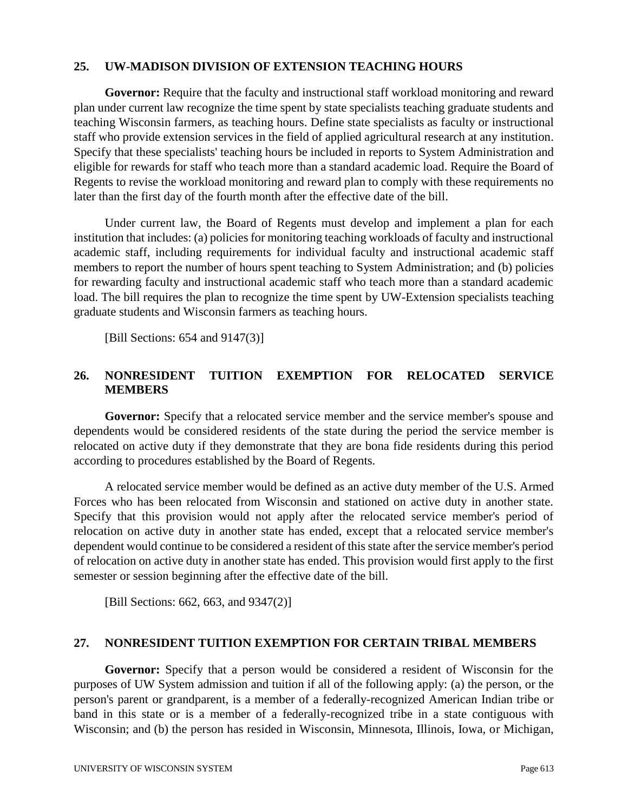#### **25. UW-MADISON DIVISION OF EXTENSION TEACHING HOURS**

**Governor:** Require that the faculty and instructional staff workload monitoring and reward plan under current law recognize the time spent by state specialists teaching graduate students and teaching Wisconsin farmers, as teaching hours. Define state specialists as faculty or instructional staff who provide extension services in the field of applied agricultural research at any institution. Specify that these specialists' teaching hours be included in reports to System Administration and eligible for rewards for staff who teach more than a standard academic load. Require the Board of Regents to revise the workload monitoring and reward plan to comply with these requirements no later than the first day of the fourth month after the effective date of the bill.

Under current law, the Board of Regents must develop and implement a plan for each institution that includes: (a) policies for monitoring teaching workloads of faculty and instructional academic staff, including requirements for individual faculty and instructional academic staff members to report the number of hours spent teaching to System Administration; and (b) policies for rewarding faculty and instructional academic staff who teach more than a standard academic load. The bill requires the plan to recognize the time spent by UW-Extension specialists teaching graduate students and Wisconsin farmers as teaching hours.

[Bill Sections: 654 and 9147(3)]

## **26. NONRESIDENT TUITION EXEMPTION FOR RELOCATED SERVICE MEMBERS**

**Governor:** Specify that a relocated service member and the service member's spouse and dependents would be considered residents of the state during the period the service member is relocated on active duty if they demonstrate that they are bona fide residents during this period according to procedures established by the Board of Regents.

A relocated service member would be defined as an active duty member of the U.S. Armed Forces who has been relocated from Wisconsin and stationed on active duty in another state. Specify that this provision would not apply after the relocated service member's period of relocation on active duty in another state has ended, except that a relocated service member's dependent would continue to be considered a resident of this state after the service member's period of relocation on active duty in another state has ended. This provision would first apply to the first semester or session beginning after the effective date of the bill.

[Bill Sections: 662, 663, and 9347(2)]

### **27. NONRESIDENT TUITION EXEMPTION FOR CERTAIN TRIBAL MEMBERS**

**Governor:** Specify that a person would be considered a resident of Wisconsin for the purposes of UW System admission and tuition if all of the following apply: (a) the person, or the person's parent or grandparent, is a member of a federally-recognized American Indian tribe or band in this state or is a member of a federally-recognized tribe in a state contiguous with Wisconsin; and (b) the person has resided in Wisconsin, Minnesota, Illinois, Iowa, or Michigan,